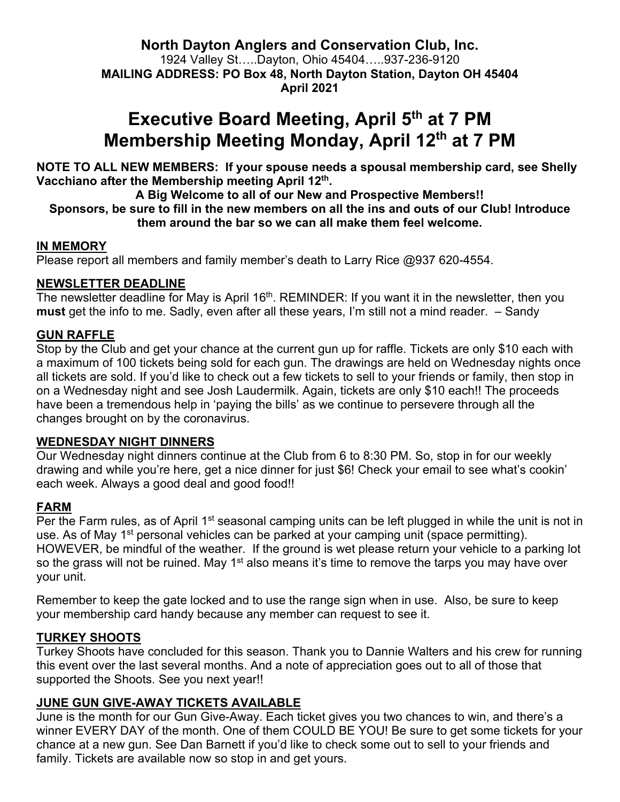**North Dayton Anglers and Conservation Club, Inc.** 1924 Valley St…..Dayton, Ohio 45404…..937-236-9120 **MAILING ADDRESS: PO Box 48, North Dayton Station, Dayton OH 45404 April 2021**

## **Executive Board Meeting, April 5<sup>th</sup> at 7 PM Membership Meeting Monday, April 12th at 7 PM**

**NOTE TO ALL NEW MEMBERS: If your spouse needs a spousal membership card, see Shelly Vacchiano after the Membership meeting April 12th.**

**A Big Welcome to all of our New and Prospective Members!! Sponsors, be sure to fill in the new members on all the ins and outs of our Club! Introduce them around the bar so we can all make them feel welcome.** 

#### **IN MEMORY**

Please report all members and family member's death to Larry Rice @937 620-4554.

#### **NEWSLETTER DEADLINE**

The newsletter deadline for May is April 16<sup>th</sup>. REMINDER: If you want it in the newsletter, then you **must** get the info to me. Sadly, even after all these years, I'm still not a mind reader. – Sandy

#### **GUN RAFFLE**

Stop by the Club and get your chance at the current gun up for raffle. Tickets are only \$10 each with a maximum of 100 tickets being sold for each gun. The drawings are held on Wednesday nights once all tickets are sold. If you'd like to check out a few tickets to sell to your friends or family, then stop in on a Wednesday night and see Josh Laudermilk. Again, tickets are only \$10 each!! The proceeds have been a tremendous help in 'paying the bills' as we continue to persevere through all the changes brought on by the coronavirus.

#### **WEDNESDAY NIGHT DINNERS**

Our Wednesday night dinners continue at the Club from 6 to 8:30 PM. So, stop in for our weekly drawing and while you're here, get a nice dinner for just \$6! Check your email to see what's cookin' each week. Always a good deal and good food!!

#### **FARM**

Per the Farm rules, as of April 1<sup>st</sup> seasonal camping units can be left plugged in while the unit is not in use. As of May 1<sup>st</sup> personal vehicles can be parked at your camping unit (space permitting). HOWEVER, be mindful of the weather. If the ground is wet please return your vehicle to a parking lot so the grass will not be ruined. May 1<sup>st</sup> also means it's time to remove the tarps you may have over your unit.

Remember to keep the gate locked and to use the range sign when in use. Also, be sure to keep your membership card handy because any member can request to see it.

#### **TURKEY SHOOTS**

Turkey Shoots have concluded for this season. Thank you to Dannie Walters and his crew for running this event over the last several months. And a note of appreciation goes out to all of those that supported the Shoots. See you next year!!

#### **JUNE GUN GIVE-AWAY TICKETS AVAILABLE**

June is the month for our Gun Give-Away. Each ticket gives you two chances to win, and there's a winner EVERY DAY of the month. One of them COULD BE YOU! Be sure to get some tickets for your chance at a new gun. See Dan Barnett if you'd like to check some out to sell to your friends and family. Tickets are available now so stop in and get yours.